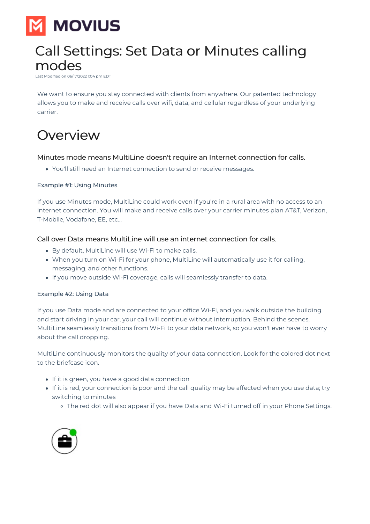

# Call Settings: Set Data or Minutes calling modes

Last Modified on 06/17/2022 1:04 pm EDT

We want to ensure you stay connected with clients from anywhere. Our patented technology allows you to make and receive calls over wifi, data, and cellular regardless of your underlying carrier.

# Overview

### Minutes mode means MultiLine doesn't require an Internet connection for calls.

You'll still need an Internet connection to send or receive messages.

### Example #1: Using Minutes

If you use Minutes mode, MultiLine could work even if you're in a rural area with no access to an internet connection. You will make and receive calls over your carrier minutes plan AT&T, Verizon, T-Mobile, Vodafone, EE, etc...

### Call over Data means MultiLine will use an internet connection for calls.

- By default, MultiLine will use Wi-Fi to make calls.
- When you turn on Wi-Fi for your phone, MultiLine will automatically use it for calling, messaging, and other functions.
- If you move outside Wi-Fi coverage, calls will seamlessly transfer to data.

### Example #2: Using Data

If you use Data mode and are connected to your office Wi-Fi, and you walk outside the building and start driving in your car, your call will continue without interruption. Behind the scenes, MultiLine seamlessly transitions from Wi-Fi to your data network, so you won't ever have to worry about the call dropping.

MultiLine continuously monitors the quality of your data connection. Look for the colored dot next to the briefcase icon.

- If it is green, you have a good data connection
- If it is red, your connection is poor and the call quality may be affected when you use data; try switching to minutes
	- o The red dot will also appear if you have Data and Wi-Fi turned off in your Phone Settings.

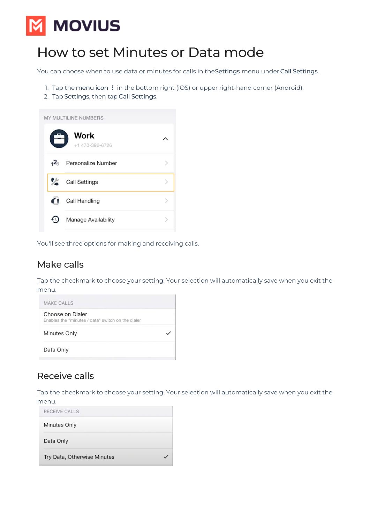# **MOVIUS**

## How to set Minutes or Data mode

You can choose when to use data or minutes for calls in theSettings menu under Call Settings.

- 1. Tap the menu icon: in the bottom right (iOS) or upper right-hand corner (Android).
- 2. Tap Settings, then tap Call Settings.



You'll see three options for making and receiving calls.

## Make calls

Tap the checkmark to choose your setting. Your selection will automatically save when you exit the menu.



## Receive calls

Tap the checkmark to choose your setting. Your selection will automatically save when you exit the menu.

| RECEIVE CALLS               |  |
|-----------------------------|--|
| Minutes Only                |  |
| Data Only                   |  |
| Try Data, Otherwise Minutes |  |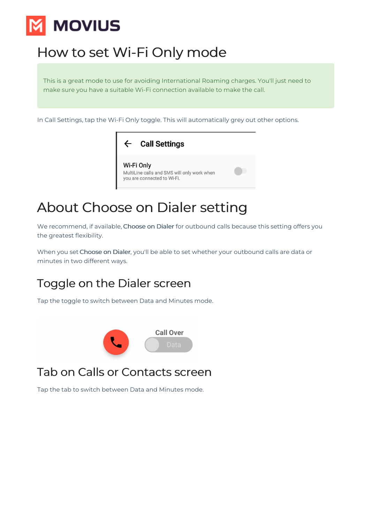# **MOVIUS**

# How to set Wi-Fi Only mode

This is a great mode to use for avoiding International Roaming charges. You'll just need to make sure you have a suitable Wi-Fi connection available to make the call.

In Call Settings, tap the Wi-Fi Only toggle. This will automatically grey out other options.



# About Choose on Dialer setting

We recommend, if available, Choose on Dialer for outbound calls because this setting offers you the greatest flexibility.

When you set Choose on Dialer, you'll be able to set whether your outbound calls are data or minutes in two different ways.

## Toggle on the Dialer screen

Tap the toggle to switch between Data and Minutes mode.



## Tab on Calls or Contacts screen

Tap the tab to switch between Data and Minutes mode.